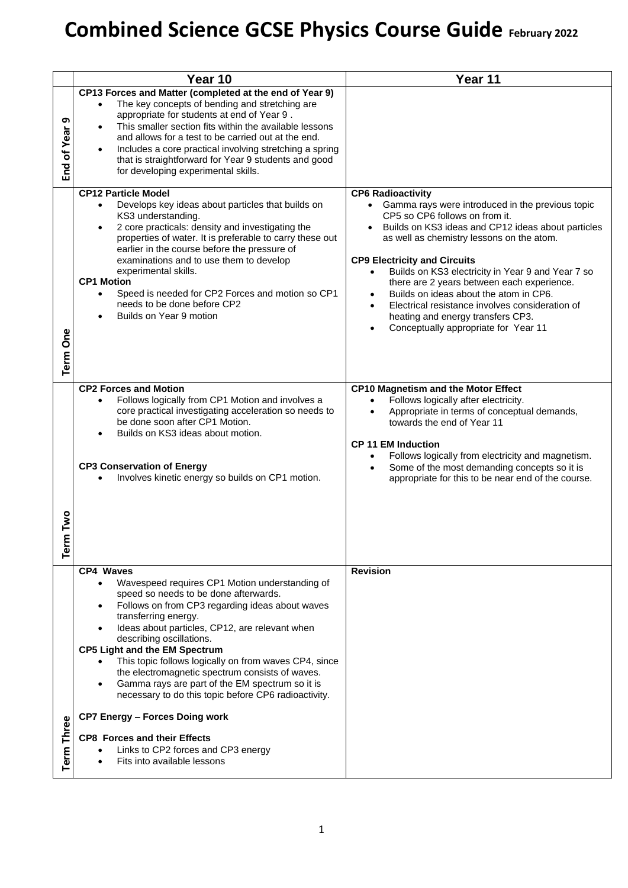## **Combined Science GCSE Physics Course Guide February <sup>2022</sup>**

|                   | Year 10                                                                                                                                                                                                                                                                                                                                                                                                                                                                                                                                                                                                                                                                                                            | Year 11                                                                                                                                                                                                                                                                                                                                                                                                                                                                                                                                                           |
|-------------------|--------------------------------------------------------------------------------------------------------------------------------------------------------------------------------------------------------------------------------------------------------------------------------------------------------------------------------------------------------------------------------------------------------------------------------------------------------------------------------------------------------------------------------------------------------------------------------------------------------------------------------------------------------------------------------------------------------------------|-------------------------------------------------------------------------------------------------------------------------------------------------------------------------------------------------------------------------------------------------------------------------------------------------------------------------------------------------------------------------------------------------------------------------------------------------------------------------------------------------------------------------------------------------------------------|
| თ<br>End of Year  | CP13 Forces and Matter (completed at the end of Year 9)<br>The key concepts of bending and stretching are<br>$\bullet$<br>appropriate for students at end of Year 9.<br>This smaller section fits within the available lessons<br>and allows for a test to be carried out at the end.<br>Includes a core practical involving stretching a spring<br>that is straightforward for Year 9 students and good<br>for developing experimental skills.                                                                                                                                                                                                                                                                    |                                                                                                                                                                                                                                                                                                                                                                                                                                                                                                                                                                   |
| <b>Term One</b>   | <b>CP12 Particle Model</b><br>Develops key ideas about particles that builds on<br>$\bullet$<br>KS3 understanding.<br>2 core practicals: density and investigating the<br>$\bullet$<br>properties of water. It is preferable to carry these out<br>earlier in the course before the pressure of<br>examinations and to use them to develop<br>experimental skills.<br><b>CP1 Motion</b><br>Speed is needed for CP2 Forces and motion so CP1<br>needs to be done before CP2<br>Builds on Year 9 motion                                                                                                                                                                                                              | <b>CP6 Radioactivity</b><br>• Gamma rays were introduced in the previous topic<br>CP5 so CP6 follows on from it.<br>Builds on KS3 ideas and CP12 ideas about particles<br>as well as chemistry lessons on the atom.<br><b>CP9 Electricity and Circuits</b><br>Builds on KS3 electricity in Year 9 and Year 7 so<br>there are 2 years between each experience.<br>Builds on ideas about the atom in CP6.<br>$\bullet$<br>Electrical resistance involves consideration of<br>$\bullet$<br>heating and energy transfers CP3.<br>Conceptually appropriate for Year 11 |
| Two<br>Term       | <b>CP2 Forces and Motion</b><br>Follows logically from CP1 Motion and involves a<br>$\bullet$<br>core practical investigating acceleration so needs to<br>be done soon after CP1 Motion.<br>Builds on KS3 ideas about motion.<br><b>CP3 Conservation of Energy</b><br>Involves kinetic energy so builds on CP1 motion.                                                                                                                                                                                                                                                                                                                                                                                             | <b>CP10 Magnetism and the Motor Effect</b><br>Follows logically after electricity.<br>Appropriate in terms of conceptual demands,<br>towards the end of Year 11<br><b>CP 11 EM Induction</b><br>Follows logically from electricity and magnetism.<br>Some of the most demanding concepts so it is<br>$\bullet$<br>appropriate for this to be near end of the course.                                                                                                                                                                                              |
| <b>Term Three</b> | <b>CP4 Waves</b><br>Wavespeed requires CP1 Motion understanding of<br>$\bullet$<br>speed so needs to be done afterwards.<br>Follows on from CP3 regarding ideas about waves<br>transferring energy.<br>Ideas about particles, CP12, are relevant when<br>describing oscillations.<br><b>CP5 Light and the EM Spectrum</b><br>This topic follows logically on from waves CP4, since<br>the electromagnetic spectrum consists of waves.<br>Gamma rays are part of the EM spectrum so it is<br>$\bullet$<br>necessary to do this topic before CP6 radioactivity.<br><b>CP7 Energy - Forces Doing work</b><br><b>CP8 Forces and their Effects</b><br>Links to CP2 forces and CP3 energy<br>Fits into available lessons | <b>Revision</b>                                                                                                                                                                                                                                                                                                                                                                                                                                                                                                                                                   |